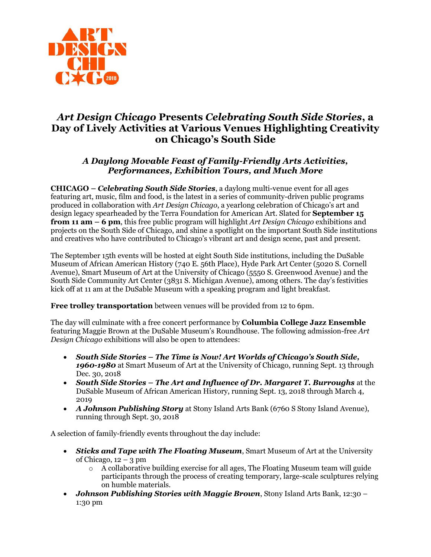

# *Art Design Chicago* **Presents** *Celebrating South Side Stories***, a Day of Lively Activities at Various Venues Highlighting Creativity on Chicago's South Side**

## *A Daylong Movable Feast of Family-Friendly Arts Activities, Performances, Exhibition Tours, and Much More*

**CHICAGO –** *Celebrating South Side Stories*, a daylong multi-venue event for all ages featuring art, music, film and food, is the latest in a series of community-driven public programs produced in collaboration with *Art Design Chicago*, a yearlong celebration of Chicago's art and design legacy spearheaded by the Terra Foundation for American Art. Slated for **September 15 from 11 am – 6 pm**, this free public program will highlight *Art Design Chicago* exhibitions and projects on the South Side of Chicago, and shine a spotlight on the important South Side institutions and creatives who have contributed to Chicago's vibrant art and design scene, past and present.

The September 15th events will be hosted at eight South Side institutions, including the DuSable Museum of African American History (740 E. 56th Place), Hyde Park Art Center (5020 S. Cornell Avenue), Smart Museum of Art at the University of Chicago (5550 S. Greenwood Avenue) and the South Side Community Art Center (3831 S. Michigan Avenue), among others. The day's festivities kick off at 11 am at the DuSable Museum with a speaking program and light breakfast.

**Free trolley transportation** between venues will be provided from 12 to 6pm.

The day will culminate with a free concert performance by **Columbia College Jazz Ensemble** featuring Maggie Brown at the DuSable Museum's Roundhouse. The following admission-free *Art Design Chicago* exhibitions will also be open to attendees:

- *South Side Stories – The Time is Now! Art Worlds of Chicago's South Side, 1960-1980* at Smart Museum of Art at the University of Chicago, running Sept. 13 through Dec. 30, 2018
- *South Side Stories – The Art and Influence of Dr. Margaret T. Burroughs* at the DuSable Museum of African American History, running Sept. 13, 2018 through March 4, 2019
- *A Johnson Publishing Story* at Stony Island Arts Bank (6760 S Stony Island Avenue), running through Sept. 30, 2018

A selection of family-friendly events throughout the day include:

- *Sticks and Tape with The Floating Museum*, Smart Museum of Art at the University of Chicago,  $12 - 3$  pm
	- $\circ$  A collaborative building exercise for all ages, The Floating Museum team will guide participants through the process of creating temporary, large-scale sculptures relying on humble materials.
- *Johnson Publishing Stories with Maggie Brown*, Stony Island Arts Bank, 12:30 1:30 pm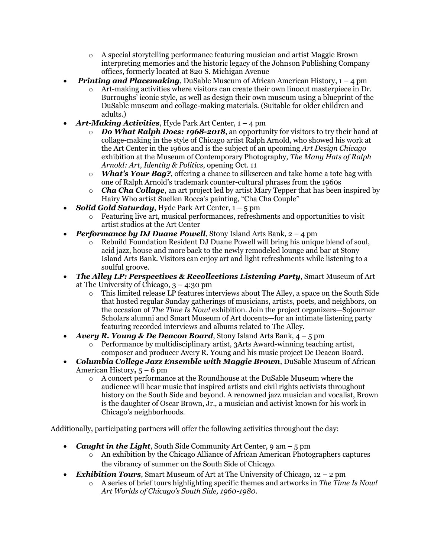- o A special storytelling performance featuring musician and artist Maggie Brown interpreting memories and the historic legacy of the Johnson Publishing Company offices, formerly located at 820 S. Michigan Avenue
- *Printing and Placemaking*, DuSable Museum of African American History, 1 4 pm
	- o Art-making activities where visitors can create their own linocut masterpiece in Dr. Burroughs' iconic style, as well as design their own museum using a blueprint of the DuSable museum and collage-making materials. (Suitable for older children and adults.)
- *Art-Making Activities*, Hyde Park Art Center, 1 4 pm
	- o *Do What Ralph Does: 1968-2018*, an opportunity for visitors to try their hand at collage-making in the style of Chicago artist Ralph Arnold, who showed his work at the Art Center in the 1960s and is the subject of an upcoming *Art Design Chicago* exhibition at the Museum of Contemporary Photography*, The Many Hats of Ralph Arnold: Art, Identity & Politics*, opening Oct. 11
	- o *What's Your Bag?*, offering a chance to silkscreen and take home a tote bag with one of Ralph Arnold's trademark counter-cultural phrases from the 1960s
	- o *Cha Cha Collage*, an art project led by artist Mary Tepper that has been inspired by Hairy Who artist Suellen Rocca's painting, "Cha Cha Couple"
- *Solid Gold Saturday*, Hyde Park Art Center, 1 5 pm
	- o Featuring live art, musical performances, refreshments and opportunities to visit artist studios at the Art Center
- *Performance by DJ Duane Powell*, Stony Island Arts Bank, 2 4 pm
	- o Rebuild Foundation Resident DJ Duane Powell will bring his unique blend of soul, acid jazz, house and more back to the newly remodeled lounge and bar at Stony Island Arts Bank. Visitors can enjoy art and light refreshments while listening to a soulful groove.
- *The Alley LP: Perspectives & Recollections Listening Party*, Smart Museum of Art at The University of Chicago,  $3 - 4:30$  pm
	- o This limited release LP features interviews about The Alley, a space on the South Side that hosted regular Sunday gatherings of musicians, artists, poets, and neighbors, on the occasion of *The Time Is Now!* exhibition. Join the project organizers—Sojourner Scholars alumni and Smart Museum of Art docents—for an intimate listening party featuring recorded interviews and albums related to The Alley.
- *Avery R. Young & De Deacon Board*, Stony Island Arts Bank, 4 5 pm
	- o Performance by multidisciplinary artist, 3Arts Award-winning teaching artist, composer and producer Avery R. Young and his music project De Deacon Board.
- *Columbia College Jazz Ensemble with Maggie Brown*, DuSable Museum of African American History**,** 5 – 6 pm
	- o A concert performance at the Roundhouse at the DuSable Museum where the audience will hear music that inspired artists and civil rights activists throughout history on the South Side and beyond. A renowned jazz musician and vocalist, Brown is the daughter of Oscar Brown, Jr., a musician and activist known for his work in Chicago's neighborhoods.

Additionally, participating partners will offer the following activities throughout the day:

- *Caught in the Light*, South Side Community Art Center, 9 am 5 pm
	- o An exhibition by the Chicago Alliance of African American Photographers captures the vibrancy of summer on the South Side of Chicago.
- *Exhibition Tours*, Smart Museum of Art at The University of Chicago, 12 2 pm
	- o A series of brief tours highlighting specific themes and artworks in *The Time Is Now! Art Worlds of Chicago's South Side, 1960-1980*.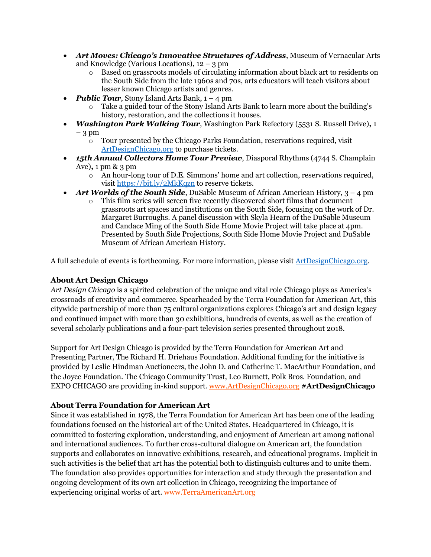- *Art Moves: Chicago's Innovative Structures of Address*, Museum of Vernacular Arts and Knowledge (Various Locations),  $12 - 3$  pm
	- o Based on grassroots models of circulating information about black art to residents on the South Side from the late 1960s and 70s, arts educators will teach visitors about lesser known Chicago artists and genres.
- *Public Tour*, Stony Island Arts Bank, 1 4 pm
	- o Take a guided tour of the Stony Island Arts Bank to learn more about the building's history, restoration, and the collections it houses.
- *Washington Park Walking Tour*, Washington Park Refectory (5531 S. Russell Drive)**,** 1 – 3 pm
	- $\overline{\circ}$  Tour presented by the Chicago Parks Foundation, reservations required, visit [ArtDesignChicago.org](https://www.artdesignchicago.org/) to purchase tickets.
- *15th Annual Collectors Home Tour Preview*, Diasporal Rhythms (4744 S. Champlain Ave)**,** 1 pm & 3 pm
	- o An hour-long tour of D.E. Simmons' home and art collection, reservations required, visit<https://bit.ly/2MkKqzn> to reserve tickets.
- *Art Worlds of the South Side*, DuSable Museum of African American History, 3 4 pm
	- o This film series will screen five recently discovered short films that document grassroots art spaces and institutions on the South Side, focusing on the work of Dr. Margaret Burroughs. A panel discussion with Skyla Hearn of the DuSable Museum and Candace Ming of the South Side Home Movie Project will take place at 4pm. Presented by South Side Projections, South Side Home Movie Project and DuSable Museum of African American History.

A full schedule of events is forthcoming. For more information, please visit [ArtDesignChicago.org.](https://www.artdesignchicago.org/)

### **About Art Design Chicago**

*Art Design Chicago* is a spirited celebration of the unique and vital role Chicago plays as America's crossroads of creativity and commerce. Spearheaded by the Terra Foundation for American Art, this citywide partnership of more than 75 cultural organizations explores Chicago's art and design legacy and continued impact with more than 30 exhibitions, hundreds of events, as well as the creation of several scholarly publications and a four-part television series presented throughout 2018.

Support for Art Design Chicago is provided by the Terra Foundation for American Art and Presenting Partner, The Richard H. Driehaus Foundation. Additional funding for the initiative is provided by Leslie Hindman Auctioneers, the John D. and Catherine T. MacArthur Foundation, and the Joyce Foundation. The Chicago Community Trust, Leo Burnett, Polk Bros. Foundation, and EXPO CHICAGO are providing in-kind support. [www.ArtDesignChicago.org](http://www.artdesignchicago.org/) **#ArtDesignChicago**

### **About Terra Foundation for American Art**

Since it was established in 1978, the Terra Foundation for American Art has been one of the leading foundations focused on the historical art of the United States. Headquartered in Chicago, it is committed to fostering exploration, understanding, and enjoyment of American art among national and international audiences. To further cross-cultural dialogue on American art, the foundation supports and collaborates on innovative exhibitions, research, and educational programs. Implicit in such activities is the belief that art has the potential both to distinguish cultures and to unite them. The foundation also provides opportunities for interaction and study through the presentation and ongoing development of its own art collection in Chicago, recognizing the importance of experiencing original works of art. [www.TerraAmericanArt.org](file:///C:/Users/jasculca/AppData/Local/Microsoft/Windows/INetCache/Content.Outlook/TLI9I2XX/www.TerraAmericanArt.org)